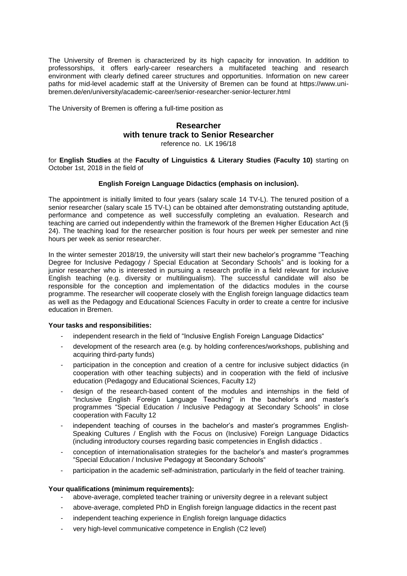The University of Bremen is characterized by its high capacity for innovation. In addition to professorships, it offers early-career researchers a multifaceted teaching and research environment with clearly defined career structures and opportunities. Information on new career paths for mid-level academic staff at the University of Bremen can be found at https://www.unibremen.de/en/university/academic-career/senior-researcher-senior-lecturer.html

The University of Bremen is offering a full-time position as

# **Researcher with tenure track to Senior Researcher**

reference no. LK 196/18

for **English Studies** at the **Faculty of Linguistics & Literary Studies (Faculty 10)** starting on October 1st, 2018 in the field of

## **English Foreign Language Didactics (emphasis on inclusion).**

The appointment is initially limited to four years (salary scale 14 TV-L). The tenured position of a senior researcher (salary scale 15 TV-L) can be obtained after demonstrating outstanding aptitude, performance and competence as well successfully completing an evaluation. Research and teaching are carried out independently within the framework of the Bremen Higher Education Act (§ 24). The teaching load for the researcher position is four hours per week per semester and nine hours per week as senior researcher.

In the winter semester 2018/19, the university will start their new bachelor's programme "Teaching Degree for Inclusive Pedagogy / Special Education at Secondary Schools" and is looking for a junior researcher who is interested in pursuing a research profile in a field relevant for inclusive English teaching (e.g. diversity or multilingualism). The successful candidate will also be responsible for the conception and implementation of the didactics modules in the course programme. The researcher will cooperate closely with the English foreign language didactics team as well as the Pedagogy and Educational Sciences Faculty in order to create a centre for inclusive education in Bremen.

#### **Your tasks and responsibilities:**

- independent research in the field of "Inclusive English Foreign Language Didactics"
- development of the research area (e.g. by holding conferences/workshops, publishing and acquiring third-party funds)
- participation in the conception and creation of a centre for inclusive subject didactics (in cooperation with other teaching subjects) and in cooperation with the field of inclusive education (Pedagogy and Educational Sciences, Faculty 12)
- design of the research-based content of the modules and internships in the field of "Inclusive English Foreign Language Teaching" in the bachelor's and master's programmes "Special Education / Inclusive Pedagogy at Secondary Schools" in close cooperation with Faculty 12
- independent teaching of courses in the bachelor's and master's programmes English-Speaking Cultures / English with the Focus on (Inclusive) Foreign Language Didactics (including introductory courses regarding basic competencies in English didactics .
- conception of internationalisation strategies for the bachelor's and master's programmes "Special Education / Inclusive Pedagogy at Secondary Schools"
- participation in the academic self-administration, particularly in the field of teacher training.

#### **Your qualifications (minimum requirements):**

- above-average, completed teacher training or university degree in a relevant subject
- above-average, completed PhD in English foreign language didactics in the recent past
- independent teaching experience in English foreign language didactics
- very high-level communicative competence in English (C2 level)